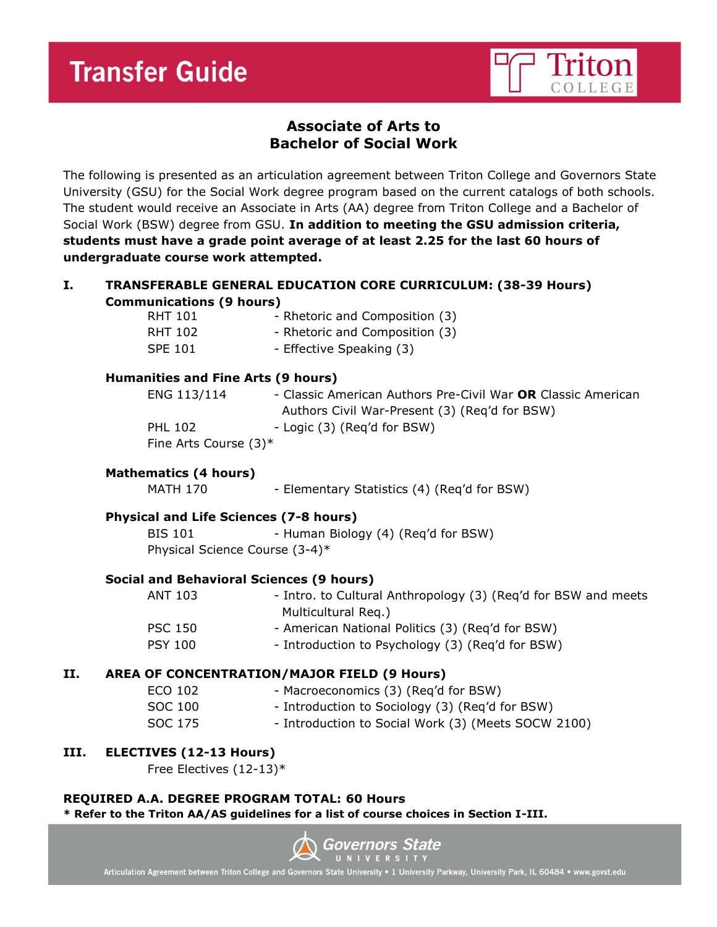# **Transfer Guide**



# **Associate of Arts to Bachelor of Social Work**

The following is presented as an articulation agreement between Triton College and Governors State University (GSU) for the Social Work degree program based on the current catalogs of both schools. The student would receive an Associate in Arts (AA) degree from Triton College and a Bachelor of Social Work (BSW) degree from GSU. **In addition to meeting the GSU admission criteria, students must have a grade point average of at least 2.25 for the last 60 hours of undergraduate course work attempted.**

# **I. TRANSFERABLE GENERAL EDUCATION CORE CURRICULUM: (38-39 Hours) Communications (9 hours)**

| RHT 101        | - Rhetoric and Composition (3) |
|----------------|--------------------------------|
| RHT 102        | - Rhetoric and Composition (3) |
| <b>SPE 101</b> | - Effective Speaking (3)       |

# **Humanities and Fine Arts (9 hours)**

| ENG 113/114              | - Classic American Authors Pre-Civil War OR Classic American |
|--------------------------|--------------------------------------------------------------|
|                          | Authors Civil War-Present (3) (Reg'd for BSW)                |
| <b>PHL 102</b>           | - Logic (3) (Reg'd for BSW)                                  |
| Fine Arts Course $(3)^*$ |                                                              |

# **Mathematics (4 hours)**

MATH 170 - Elementary Statistics (4) (Req'd for BSW)

# **Physical and Life Sciences (7-8 hours)**

BIS 101 - Human Biology (4) (Req'd for BSW) Physical Science Course (3-4)\*

# **Social and Behavioral Sciences (9 hours)**

| ANT 103        | - Intro. to Cultural Anthropology (3) (Reg'd for BSW and meets |
|----------------|----------------------------------------------------------------|
|                | Multicultural Reg.)                                            |
| <b>PSC 150</b> | - American National Politics (3) (Reg'd for BSW)               |
| <b>PSY 100</b> | - Introduction to Psychology (3) (Reg'd for BSW)               |

# **II. AREA OF CONCENTRATION/MAJOR FIELD (9 Hours)**

| ECO 102 | - Macroeconomics (3) (Reg'd for BSW)                |
|---------|-----------------------------------------------------|
| SOC 100 | - Introduction to Sociology (3) (Reg'd for BSW)     |
| SOC 175 | - Introduction to Social Work (3) (Meets SOCW 2100) |

# **III. ELECTIVES (12-13 Hours)**

Free Electives (12-13)\*

# **REQUIRED A.A. DEGREE PROGRAM TOTAL: 60 Hours**

**\* Refer to the Triton AA/AS guidelines for a list of course choices in Section I-III.**



Articulation Agreement between Triton College and Governors State University . 1 University Parkway, University Park, IL 60484 . www.govst.edu